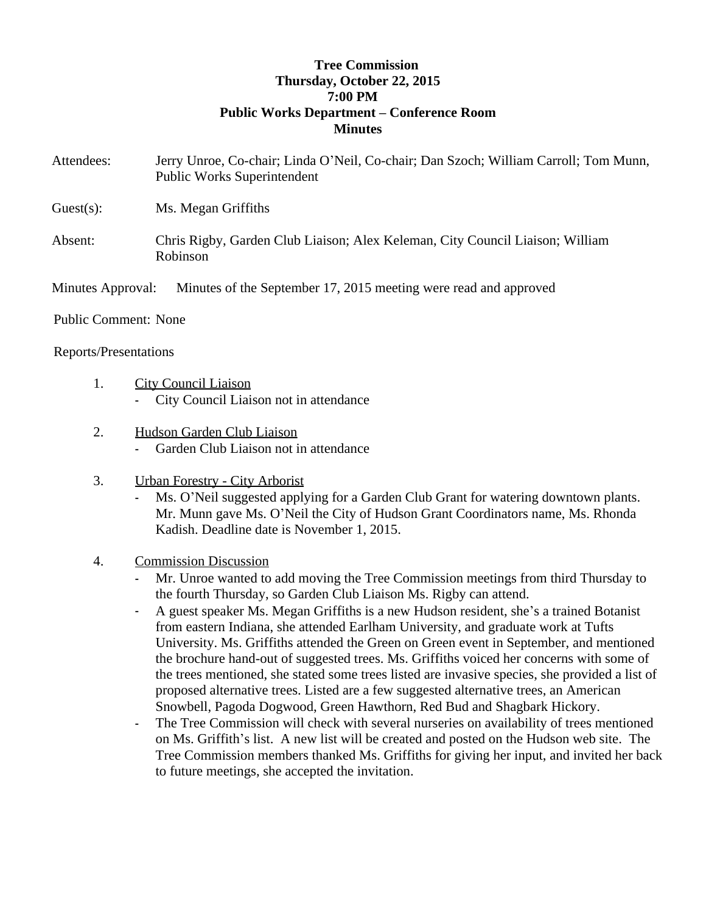## **Tree Commission Thursday, October 22, 2015 7:00 PM Public Works Department – Conference Room Minutes**

- Attendees: Jerry Unroe, Co-chair; Linda O'Neil, Co-chair; Dan Szoch; William Carroll; Tom Munn, Public Works Superintendent
- Guest(s): Ms. Megan Griffiths
- Absent: Chris Rigby, Garden Club Liaison; Alex Keleman, City Council Liaison; William Robinson

Minutes Approval: Minutes of the September 17, 2015 meeting were read and approved

Public Comment: None

## Reports/Presentations

- 1. City Council Liaison
	- City Council Liaison not in attendance
- 2. Hudson Garden Club Liaison
	- Garden Club Liaison not in attendance
- 3. Urban Forestry City Arborist
	- Ms. O'Neil suggested applying for a Garden Club Grant for watering downtown plants. Mr. Munn gave Ms. O'Neil the City of Hudson Grant Coordinators name, Ms. Rhonda Kadish. Deadline date is November 1, 2015.
- 4. Commission Discussion
	- Mr. Unroe wanted to add moving the Tree Commission meetings from third Thursday to the fourth Thursday, so Garden Club Liaison Ms. Rigby can attend.
	- A guest speaker Ms. Megan Griffiths is a new Hudson resident, she's a trained Botanist from eastern Indiana, she attended Earlham University, and graduate work at Tufts University. Ms. Griffiths attended the Green on Green event in September, and mentioned the brochure hand-out of suggested trees. Ms. Griffiths voiced her concerns with some of the trees mentioned, she stated some trees listed are invasive species, she provided a list of proposed alternative trees. Listed are a few suggested alternative trees, an American Snowbell, Pagoda Dogwood, Green Hawthorn, Red Bud and Shagbark Hickory.
	- The Tree Commission will check with several nurseries on availability of trees mentioned on Ms. Griffith's list. A new list will be created and posted on the Hudson web site. The Tree Commission members thanked Ms. Griffiths for giving her input, and invited her back to future meetings, she accepted the invitation.